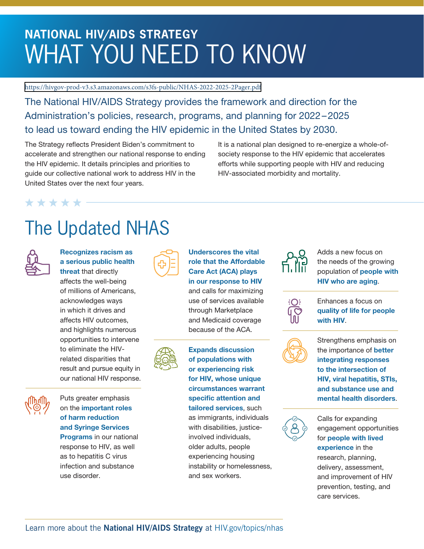# **NATIONAL HIV/AIDS STRATEGY** WHAT YOU NEED TO KNOW

https://hivgov-prod-v3.s3.amazonaws.com/s3fs-public/NHAS-2022-2025-2Pager.pdf

The National HIV/AIDS Strategy provides the framework and direction for the Administration's policies, research, programs, and planning for 2022 – 2025 to lead us toward ending the HIV epidemic in the United States by 2030.

The Strategy reflects President Biden's commitment to accelerate and strengthen our national response to ending the HIV epidemic. It details principles and priorities to guide our collective national work to address HIV in the United States over the next four years.

It is a national plan designed to re-energize a whole-ofsociety response to the HIV epidemic that accelerates efforts while supporting people with HIV and reducing HIV-associated morbidity and mortality.

### \* \* \* \* \*

# The Updated NHAS



Recognizes racism as a serious public health threat that directly

affects the well-being of millions of Americans, acknowledges ways in which it drives and affects HIV outcomes, and highlights numerous opportunities to intervene to eliminate the HIVrelated disparities that result and pursue equity in our national HIV response.



Puts greater emphasis on the important roles of harm reduction and Syringe Services Programs in our national response to HIV, as well

as to hepatitis C virus infection and substance use disorder.



### Underscores the vital role that the Affordable Care Act (ACA) plays in our response to HIV and calls for maximizing use of services available

through Marketplace and Medicaid coverage because of the ACA.



Expands discussion of populations with or experiencing risk for HIV, whose unique circumstances warrant specific attention and tailored services, such as immigrants, individuals with disabilities, justiceinvolved individuals, older adults, people experiencing housing instability or homelessness, and sex workers.



Adds a new focus on the needs of the growing population of people with HIV who are aging.



Enhances a focus on quality of life for people with HIV.



Strengthens emphasis on the importance of better integrating responses to the intersection of HIV, viral hepatitis, STIs, and substance use and mental health disorders.



Calls for expanding engagement opportunities for people with lived experience in the research, planning, delivery, assessment, and improvement of HIV prevention, testing, and care services.